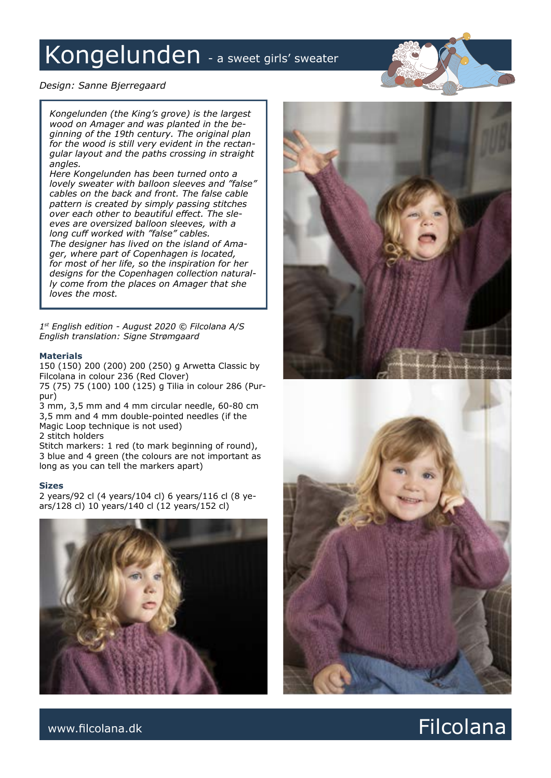# Kongelunden - a sweet girls' sweater

## *Design: Sanne Bjerregaard*

*Kongelunden (the King's grove) is the largest wood on Amager and was planted in the beginning of the 19th century. The original plan for the wood is still very evident in the rectangular layout and the paths crossing in straight angles.*

*Here Kongelunden has been turned onto a lovely sweater with balloon sleeves and "false" cables on the back and front. The false cable pattern is created by simply passing stitches over each other to beautiful effect. The sleeves are oversized balloon sleeves, with a long cuff worked with "false" cables. The designer has lived on the island of Amager, where part of Copenhagen is located, for most of her life, so the inspiration for her designs for the Copenhagen collection naturally come from the places on Amager that she loves the most.*

*1st English edition - August 2020 © Filcolana A/S English translation: Signe Strømgaard*

## **Materials**

150 (150) 200 (200) 200 (250) g Arwetta Classic by Filcolana in colour 236 (Red Clover)

75 (75) 75 (100) 100 (125) g Tilia in colour 286 (Purpur)

3 mm, 3,5 mm and 4 mm circular needle, 60-80 cm 3,5 mm and 4 mm double-pointed needles (if the Magic Loop technique is not used)

2 stitch holders

Stitch markers: 1 red (to mark beginning of round), 3 blue and 4 green (the colours are not important as long as you can tell the markers apart)

#### **Sizes**

2 years/92 cl (4 years/104 cl) 6 years/116 cl (8 years/128 cl) 10 years/140 cl (12 years/152 cl)







# www.filcolana.dk **Filcolana.dk** Reserves and the set of the set of the set of the set of the set of the set of the set of the set of the set of the set of the set of the set of the set of the set of the set of the set of t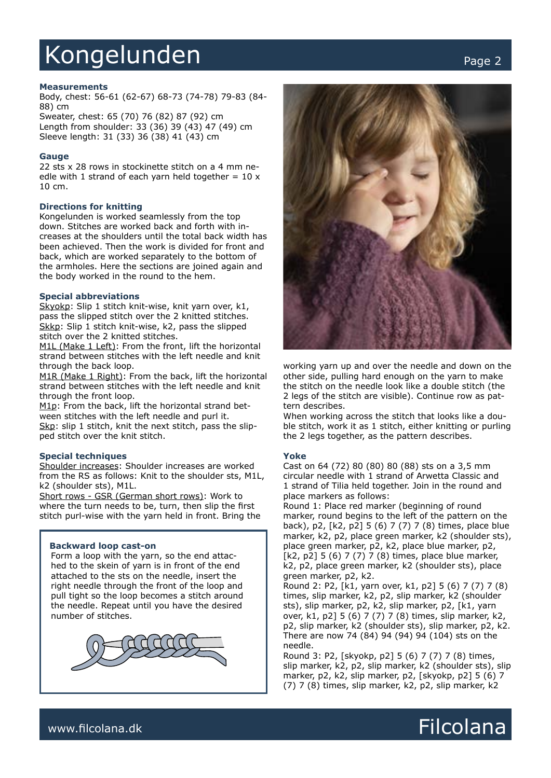# Kongelunden Page 2

#### **Measurements**

Body, chest: 56-61 (62-67) 68-73 (74-78) 79-83 (84- 88) cm Sweater, chest: 65 (70) 76 (82) 87 (92) cm

Length from shoulder: 33 (36) 39 (43) 47 (49) cm Sleeve length: 31 (33) 36 (38) 41 (43) cm

#### **Gauge**

22 sts x 28 rows in stockinette stitch on a 4 mm needle with 1 strand of each yarn held together =  $10 x$ 10 cm.

#### **Directions for knitting**

Kongelunden is worked seamlessly from the top down. Stitches are worked back and forth with increases at the shoulders until the total back width has been achieved. Then the work is divided for front and back, which are worked separately to the bottom of the armholes. Here the sections are joined again and the body worked in the round to the hem.

#### **Special abbreviations**

Skyokp: Slip 1 stitch knit-wise, knit yarn over, k1, pass the slipped stitch over the 2 knitted stitches. Skkp: Slip 1 stitch knit-wise, k2, pass the slipped stitch over the 2 knitted stitches.

M1L (Make 1 Left): From the front, lift the horizontal strand between stitches with the left needle and knit through the back loop.

M1R (Make 1 Right): From the back, lift the horizontal strand between stitches with the left needle and knit through the front loop.

M1p: From the back, lift the horizontal strand between stitches with the left needle and purl it. Skp: slip 1 stitch, knit the next stitch, pass the slipped stitch over the knit stitch.

#### **Special techniques**

Shoulder increases: Shoulder increases are worked from the RS as follows: Knit to the shoulder sts, M1L, k2 (shoulder sts), M1L.

Short rows - GSR (German short rows): Work to where the turn needs to be, turn, then slip the first stitch purl-wise with the yarn held in front. Bring the

#### **Backward loop cast-on**

Form a loop with the yarn, so the end attached to the skein of yarn is in front of the end attached to the sts on the needle, insert the right needle through the front of the loop and pull tight so the loop becomes a stitch around the needle. Repeat until you have the desired number of stitches.





working yarn up and over the needle and down on the other side, pulling hard enough on the yarn to make the stitch on the needle look like a double stitch (the 2 legs of the stitch are visible). Continue row as pattern describes.

When working across the stitch that looks like a double stitch, work it as 1 stitch, either knitting or purling the 2 legs together, as the pattern describes.

#### **Yoke**

Cast on 64 (72) 80 (80) 80 (88) sts on a 3,5 mm circular needle with 1 strand of Arwetta Classic and 1 strand of Tilia held together. Join in the round and place markers as follows:

Round 1: Place red marker (beginning of round marker, round begins to the left of the pattern on the back), p2, [k2, p2] 5 (6) 7 (7) 7 (8) times, place blue marker, k2, p2, place green marker, k2 (shoulder sts), place green marker, p2, k2, place blue marker, p2, [k2, p2] 5 (6) 7 (7) 7 (8) times, place blue marker, k2, p2, place green marker, k2 (shoulder sts), place green marker, p2, k2.

Round 2: P2, [k1, yarn over, k1, p2] 5 (6) 7 (7) 7 (8) times, slip marker, k2, p2, slip marker, k2 (shoulder sts), slip marker, p2, k2, slip marker, p2, [k1, yarn over, k1, p2] 5 (6) 7 (7) 7 (8) times, slip marker, k2, p2, slip marker, k2 (shoulder sts), slip marker, p2, k2. There are now 74 (84) 94 (94) 94 (104) sts on the needle.

Round 3: P2, [skyokp, p2] 5 (6) 7 (7) 7 (8) times, slip marker, k2, p2, slip marker, k2 (shoulder sts), slip marker, p2, k2, slip marker, p2, [skyokp, p2] 5 (6) 7 (7) 7 (8) times, slip marker, k2, p2, slip marker, k2

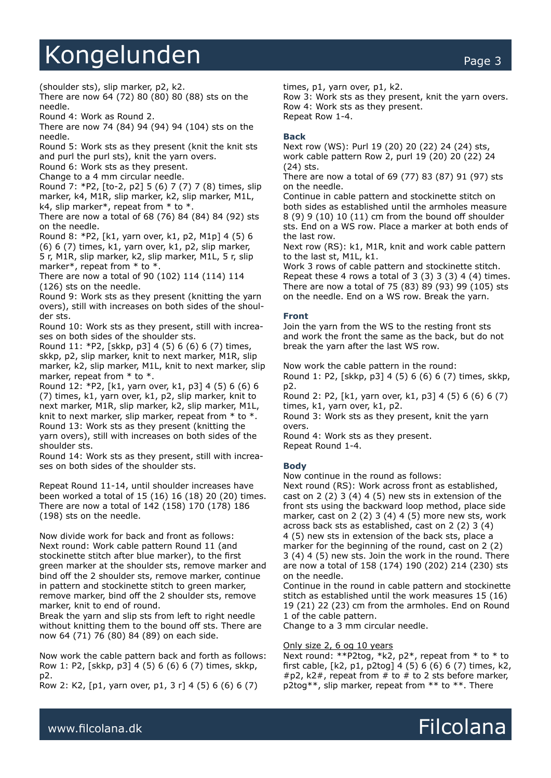# Kongelunden Page 3

Round 4: Work as Round 2.

There are now 74 (84) 94 (94) 94 (104) sts on the needle.

Round 5: Work sts as they present (knit the knit sts and purl the purl sts), knit the yarn overs.

Round 6: Work sts as they present.

Change to a 4 mm circular needle.

Round 7: \*P2, [to-2, p2] 5 (6) 7 (7) 7 (8) times, slip marker, k4, M1R, slip marker, k2, slip marker, M1L, k4, slip marker\*, repeat from  $*$  to  $*$ .

There are now a total of 68 (76) 84 (84) 84 (92) sts on the needle.

Round 8: \*P2, [k1, yarn over, k1, p2, M1p] 4 (5) 6

(6) 6 (7) times, k1, yarn over, k1, p2, slip marker, 5 r, M1R, slip marker, k2, slip marker, M1L, 5 r, slip marker\*, repeat from \* to \*.

There are now a total of 90 (102) 114 (114) 114 (126) sts on the needle.

Round 9: Work sts as they present (knitting the yarn overs), still with increases on both sides of the shoulder sts.

Round 10: Work sts as they present, still with increases on both sides of the shoulder sts.

Round 11: \*P2, [skkp, p3] 4 (5) 6 (6) 6 (7) times, skkp, p2, slip marker, knit to next marker, M1R, slip marker, k2, slip marker, M1L, knit to next marker, slip marker, repeat from \* to \*.

Round 12: \*P2, [k1, yarn over, k1, p3] 4 (5) 6 (6) 6 (7) times, k1, yarn over, k1, p2, slip marker, knit to next marker, M1R, slip marker, k2, slip marker, M1L, knit to next marker, slip marker, repeat from  $*$  to  $*$ . Round 13: Work sts as they present (knitting the yarn overs), still with increases on both sides of the shoulder sts.

Round 14: Work sts as they present, still with increases on both sides of the shoulder sts.

Repeat Round 11-14, until shoulder increases have been worked a total of 15 (16) 16 (18) 20 (20) times. There are now a total of 142 (158) 170 (178) 186 (198) sts on the needle.

Now divide work for back and front as follows: Next round: Work cable pattern Round 11 (and stockinette stitch after blue marker), to the first green marker at the shoulder sts, remove marker and bind off the 2 shoulder sts, remove marker, continue in pattern and stockinette stitch to green marker, remove marker, bind off the 2 shoulder sts, remove marker, knit to end of round.

Break the yarn and slip sts from left to right needle without knitting them to the bound off sts. There are now 64 (71) 76 (80) 84 (89) on each side.

Now work the cable pattern back and forth as follows: Row 1: P2, [skkp, p3] 4 (5) 6 (6) 6 (7) times, skkp, p2.

Row 2: K2, [p1, yarn over, p1, 3 r] 4 (5) 6 (6) 6 (7)

times, p1, yarn over, p1, k2.

Row 3: Work sts as they present, knit the yarn overs. Row 4: Work sts as they present. Repeat Row 1-4.

## **Back**

Next row (WS): Purl 19 (20) 20 (22) 24 (24) sts, work cable pattern Row 2, purl 19 (20) 20 (22) 24 (24) sts.

There are now a total of 69 (77) 83 (87) 91 (97) sts on the needle.

Continue in cable pattern and stockinette stitch on both sides as established until the armholes measure 8 (9) 9 (10) 10 (11) cm from the bound off shoulder sts. End on a WS row. Place a marker at both ends of the last row.

Next row (RS): k1, M1R, knit and work cable pattern to the last st, M1L, k1.

Work 3 rows of cable pattern and stockinette stitch. Repeat these 4 rows a total of  $3(3)$   $3(3)$   $4(4)$  times. There are now a total of 75 (83) 89 (93) 99 (105) sts on the needle. End on a WS row. Break the yarn.

## **Front**

Join the yarn from the WS to the resting front sts and work the front the same as the back, but do not break the yarn after the last WS row.

Now work the cable pattern in the round: Round 1: P2, [skkp, p3] 4 (5) 6 (6) 6 (7) times, skkp, p2.

Round 2: P2, [k1, yarn over, k1, p3] 4 (5) 6 (6) 6 (7) times, k1, yarn over, k1, p2.

Round 3: Work sts as they present, knit the yarn overs.

Round 4: Work sts as they present. Repeat Round 1-4.

## **Body**

Now continue in the round as follows:

Next round (RS): Work across front as established, cast on  $2(2)$  3 (4) 4 (5) new sts in extension of the front sts using the backward loop method, place side marker, cast on 2 (2) 3 (4) 4 (5) more new sts, work across back sts as established, cast on 2 (2) 3 (4) 4 (5) new sts in extension of the back sts, place a marker for the beginning of the round, cast on 2 (2) 3 (4) 4 (5) new sts. Join the work in the round. There are now a total of 158 (174) 190 (202) 214 (230) sts on the needle.

Continue in the round in cable pattern and stockinette stitch as established until the work measures 15 (16) 19 (21) 22 (23) cm from the armholes. End on Round 1 of the cable pattern.

Change to a 3 mm circular needle.

Only size 2, 6 og 10 years

Next round: \*\*P2tog, \*k2, p2\*, repeat from \* to \* to first cable, [k2, p1, p2tog] 4 (5) 6 (6) 6 (7) times, k2,  $\#p2$ , k2#, repeat from  $\#$  to  $\#$  to 2 sts before marker, p2tog\*\*, slip marker, repeat from \*\* to \*\*. There